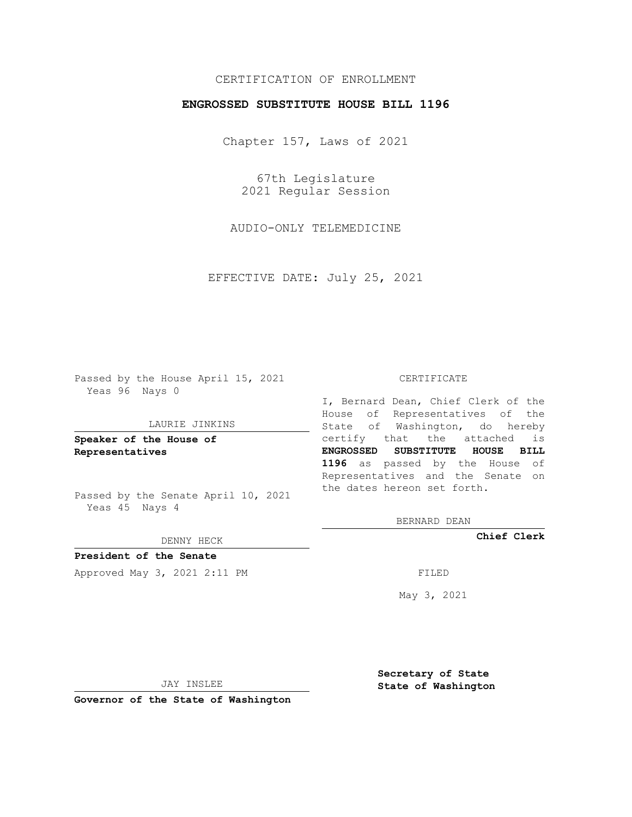## CERTIFICATION OF ENROLLMENT

## **ENGROSSED SUBSTITUTE HOUSE BILL 1196**

Chapter 157, Laws of 2021

67th Legislature 2021 Regular Session

AUDIO-ONLY TELEMEDICINE

EFFECTIVE DATE: July 25, 2021

Passed by the House April 15, 2021 Yeas 96 Nays 0

### LAURIE JINKINS

**Speaker of the House of Representatives**

Passed by the Senate April 10, 2021 Yeas 45 Nays 4

### DENNY HECK

**President of the Senate** Approved May 3, 2021 2:11 PM FILED

#### CERTIFICATE

I, Bernard Dean, Chief Clerk of the House of Representatives of the State of Washington, do hereby certify that the attached is **ENGROSSED SUBSTITUTE HOUSE BILL 1196** as passed by the House of Representatives and the Senate on the dates hereon set forth.

BERNARD DEAN

**Chief Clerk**

May 3, 2021

JAY INSLEE

**Governor of the State of Washington**

**Secretary of State State of Washington**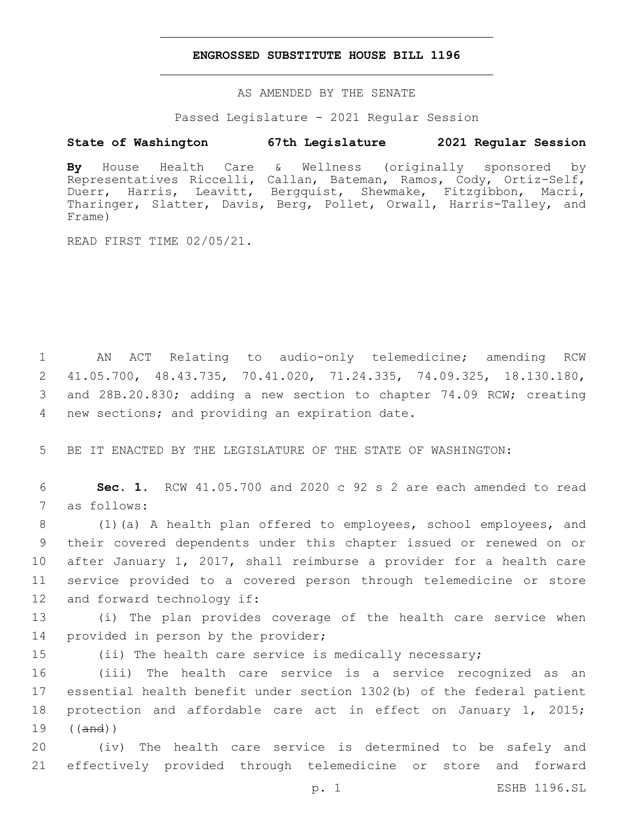## **ENGROSSED SUBSTITUTE HOUSE BILL 1196**

AS AMENDED BY THE SENATE

Passed Legislature - 2021 Regular Session

## **State of Washington 67th Legislature 2021 Regular Session**

**By** House Health Care & Wellness (originally sponsored by Representatives Riccelli, Callan, Bateman, Ramos, Cody, Ortiz-Self, Duerr, Harris, Leavitt, Bergquist, Shewmake, Fitzgibbon, Macri, Tharinger, Slatter, Davis, Berg, Pollet, Orwall, Harris-Talley, and Frame)

READ FIRST TIME 02/05/21.

 AN ACT Relating to audio-only telemedicine; amending RCW 41.05.700, 48.43.735, 70.41.020, 71.24.335, 74.09.325, 18.130.180, and 28B.20.830; adding a new section to chapter 74.09 RCW; creating 4 new sections; and providing an expiration date.

5 BE IT ENACTED BY THE LEGISLATURE OF THE STATE OF WASHINGTON:

6 **Sec. 1.** RCW 41.05.700 and 2020 c 92 s 2 are each amended to read 7 as follows:

 (1)(a) A health plan offered to employees, school employees, and their covered dependents under this chapter issued or renewed on or after January 1, 2017, shall reimburse a provider for a health care service provided to a covered person through telemedicine or store 12 and forward technology if:

13 (i) The plan provides coverage of the health care service when 14 provided in person by the provider;

15 (ii) The health care service is medically necessary;

 (iii) The health care service is a service recognized as an essential health benefit under section 1302(b) of the federal patient protection and affordable care act in effect on January 1, 2015; 19 ((and))

20 (iv) The health care service is determined to be safely and 21 effectively provided through telemedicine or store and forward

p. 1 ESHB 1196.SL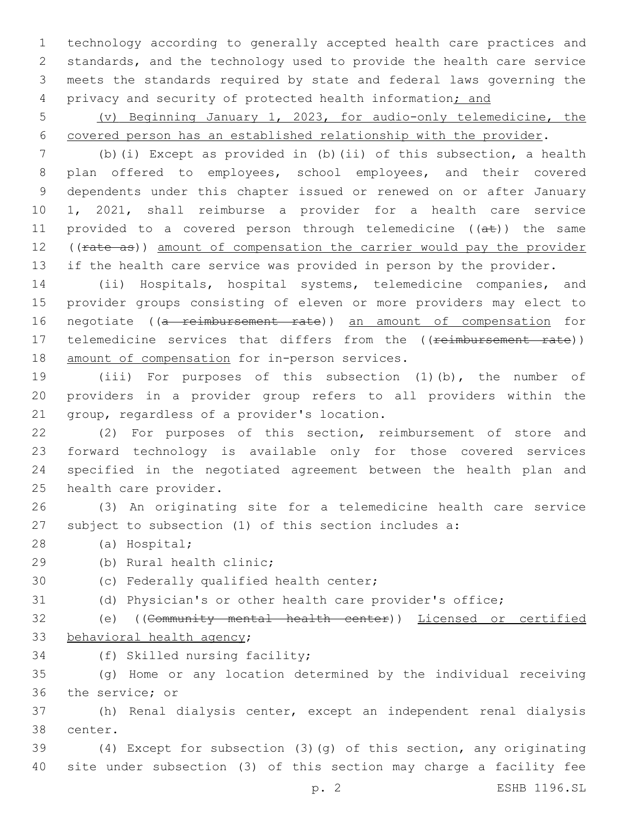technology according to generally accepted health care practices and standards, and the technology used to provide the health care service meets the standards required by state and federal laws governing the 4 privacy and security of protected health information; and

5 (v) Beginning January 1, 2023, for audio-only telemedicine, the 6 covered person has an established relationship with the provider.

7 (b)(i) Except as provided in (b)(ii) of this subsection, a health 8 plan offered to employees, school employees, and their covered 9 dependents under this chapter issued or renewed on or after January 10 1, 2021, shall reimburse a provider for a health care service 11 provided to a covered person through telemedicine  $((a\texttt{t}))$  the same 12 ((rate as)) amount of compensation the carrier would pay the provider 13 if the health care service was provided in person by the provider.

14 (ii) Hospitals, hospital systems, telemedicine companies, and 15 provider groups consisting of eleven or more providers may elect to 16 negotiate ((a reimbursement rate)) an amount of compensation for 17 telemedicine services that differs from the ((reimbursement rate)) 18 amount of compensation for in-person services.

19 (iii) For purposes of this subsection (1)(b), the number of 20 providers in a provider group refers to all providers within the 21 group, regardless of a provider's location.

 (2) For purposes of this section, reimbursement of store and forward technology is available only for those covered services specified in the negotiated agreement between the health plan and 25 health care provider.

26 (3) An originating site for a telemedicine health care service 27 subject to subsection (1) of this section includes a:

(a) Hospital;28

29 (b) Rural health clinic;

30 (c) Federally qualified health center;

31 (d) Physician's or other health care provider's office;

32 (e) ((Community mental health center)) Licensed or certified 33 behavioral health agency;

34 (f) Skilled nursing facility;

35 (g) Home or any location determined by the individual receiving 36 the service; or

37 (h) Renal dialysis center, except an independent renal dialysis 38 center.

39 (4) Except for subsection (3)(g) of this section, any originating 40 site under subsection (3) of this section may charge a facility fee

p. 2 ESHB 1196.SL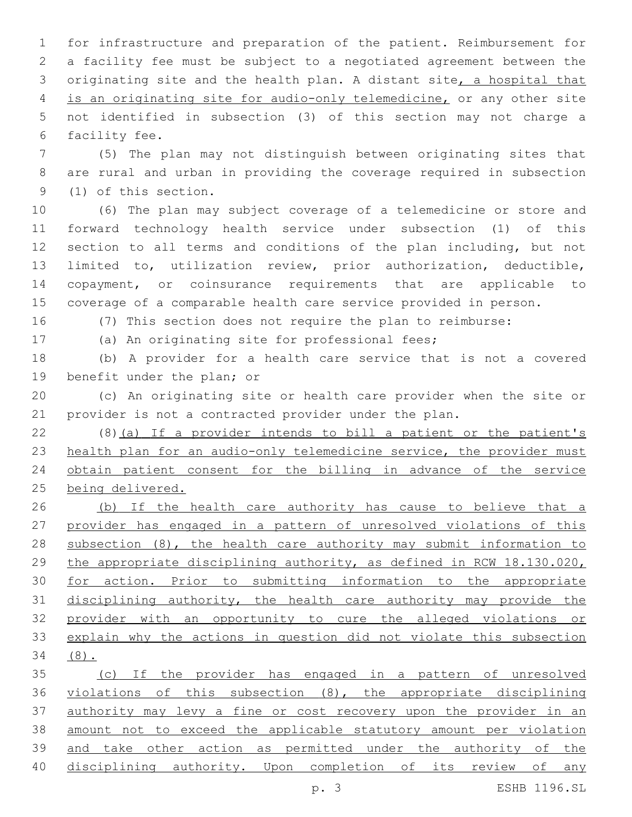for infrastructure and preparation of the patient. Reimbursement for a facility fee must be subject to a negotiated agreement between the originating site and the health plan. A distant site, a hospital that is an originating site for audio-only telemedicine, or any other site not identified in subsection (3) of this section may not charge a 6 facility fee.

 (5) The plan may not distinguish between originating sites that are rural and urban in providing the coverage required in subsection 9 (1) of this section.

 (6) The plan may subject coverage of a telemedicine or store and forward technology health service under subsection (1) of this section to all terms and conditions of the plan including, but not limited to, utilization review, prior authorization, deductible, copayment, or coinsurance requirements that are applicable to coverage of a comparable health care service provided in person.

(7) This section does not require the plan to reimburse:

(a) An originating site for professional fees;

 (b) A provider for a health care service that is not a covered 19 benefit under the plan; or

 (c) An originating site or health care provider when the site or provider is not a contracted provider under the plan.

 (8)(a) If a provider intends to bill a patient or the patient's 23 health plan for an audio-only telemedicine service, the provider must obtain patient consent for the billing in advance of the service being delivered.

 (b) If the health care authority has cause to believe that a provider has engaged in a pattern of unresolved violations of this subsection (8), the health care authority may submit information to the appropriate disciplining authority, as defined in RCW 18.130.020, for action. Prior to submitting information to the appropriate disciplining authority, the health care authority may provide the provider with an opportunity to cure the alleged violations or explain why the actions in question did not violate this subsection (8).

 (c) If the provider has engaged in a pattern of unresolved violations of this subsection (8), the appropriate disciplining authority may levy a fine or cost recovery upon the provider in an amount not to exceed the applicable statutory amount per violation and take other action as permitted under the authority of the disciplining authority. Upon completion of its review of any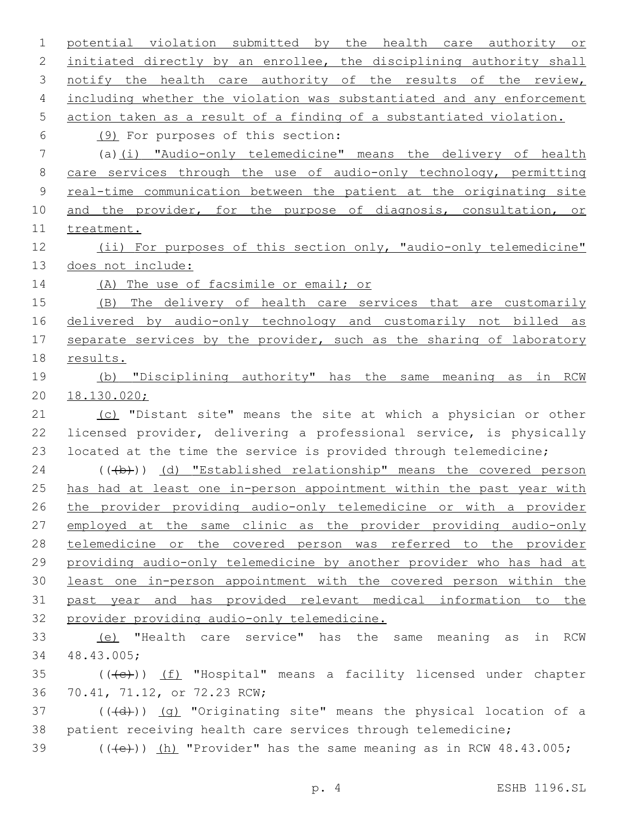potential violation submitted by the health care authority or initiated directly by an enrollee, the disciplining authority shall 3 notify the health care authority of the results of the review, including whether the violation was substantiated and any enforcement action taken as a result of a finding of a substantiated violation. (9) For purposes of this section:6 (a)(i) "Audio-only telemedicine" means the delivery of health 8 care services through the use of audio-only technology, permitting real-time communication between the patient at the originating site 10 and the provider, for the purpose of diagnosis, consultation, or 11 treatment. (ii) For purposes of this section only, "audio-only telemedicine" does not include: 14 (A) The use of facsimile or email; or (B) The delivery of health care services that are customarily delivered by audio-only technology and customarily not billed as 17 separate services by the provider, such as the sharing of laboratory results. (b) "Disciplining authority" has the same meaning as in RCW 18.130.020; 21 (c) "Distant site" means the site at which a physician or other licensed provider, delivering a professional service, is physically located at the time the service is provided through telemedicine; 24 (((b)) (d) "Established relationship" means the covered person 25 has had at least one in-person appointment within the past year with the provider providing audio-only telemedicine or with a provider 27 employed at the same clinic as the provider providing audio-only telemedicine or the covered person was referred to the provider providing audio-only telemedicine by another provider who has had at least one in-person appointment with the covered person within the past year and has provided relevant medical information to the provider providing audio-only telemedicine. (e) "Health care service" has the same meaning as in RCW 48.43.005;34 (( $\left(\frac{1}{10}\right)$  (f) "Hospital" means a facility licensed under chapter 36 70.41, 71.12, or 72.23 RCW; (( $\left(\frac{1}{4}+\right)$ ) (g) "Originating site" means the physical location of a patient receiving health care services through telemedicine;  $((\text{+e})^{\circ})$  (h) "Provider" has the same meaning as in RCW 48.43.005;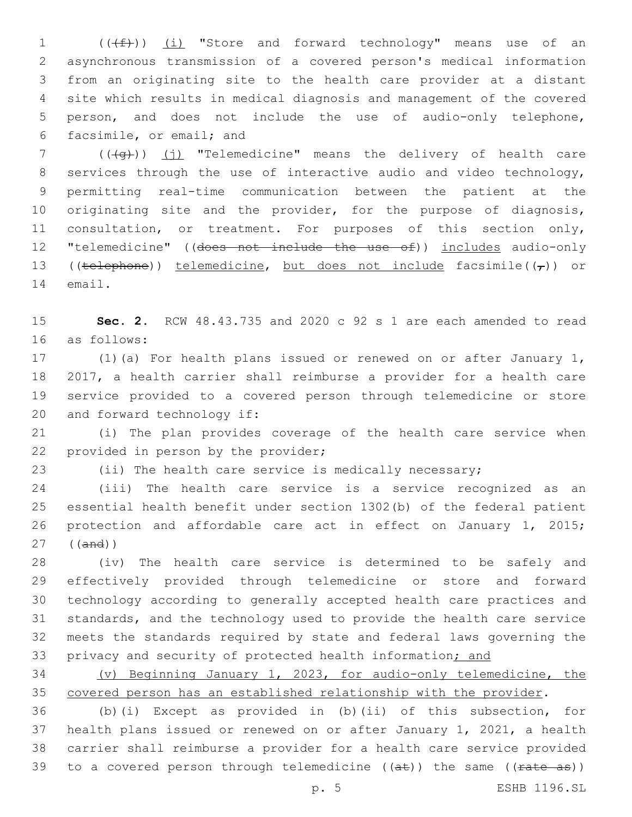$((\text{#}))$   $(i)$  "Store and forward technology" means use of an asynchronous transmission of a covered person's medical information from an originating site to the health care provider at a distant site which results in medical diagnosis and management of the covered person, and does not include the use of audio-only telephone, 6 facsimile, or email; and

 (( $\left(4\right)$ ) (j) "Telemedicine" means the delivery of health care services through the use of interactive audio and video technology, permitting real-time communication between the patient at the originating site and the provider, for the purpose of diagnosis, consultation, or treatment. For purposes of this section only, "telemedicine" ((does not include the use of)) includes audio-only 13 ((telephone)) telemedicine, but does not include facsimile( $(\tau)$ ) or 14 email.

 **Sec. 2.** RCW 48.43.735 and 2020 c 92 s 1 are each amended to read as follows:16

 (1)(a) For health plans issued or renewed on or after January 1, 2017, a health carrier shall reimburse a provider for a health care service provided to a covered person through telemedicine or store 20 and forward technology if:

 (i) The plan provides coverage of the health care service when 22 provided in person by the provider;

(ii) The health care service is medically necessary;

 (iii) The health care service is a service recognized as an essential health benefit under section 1302(b) of the federal patient protection and affordable care act in effect on January 1, 2015; ((and))

 (iv) The health care service is determined to be safely and effectively provided through telemedicine or store and forward technology according to generally accepted health care practices and standards, and the technology used to provide the health care service meets the standards required by state and federal laws governing the 33 privacy and security of protected health information; and

 (v) Beginning January 1, 2023, for audio-only telemedicine, the covered person has an established relationship with the provider.

 (b)(i) Except as provided in (b)(ii) of this subsection, for health plans issued or renewed on or after January 1, 2021, a health carrier shall reimburse a provider for a health care service provided 39 to a covered person through telemedicine  $((a\text{+}))$  the same  $((\text{rate-as}))$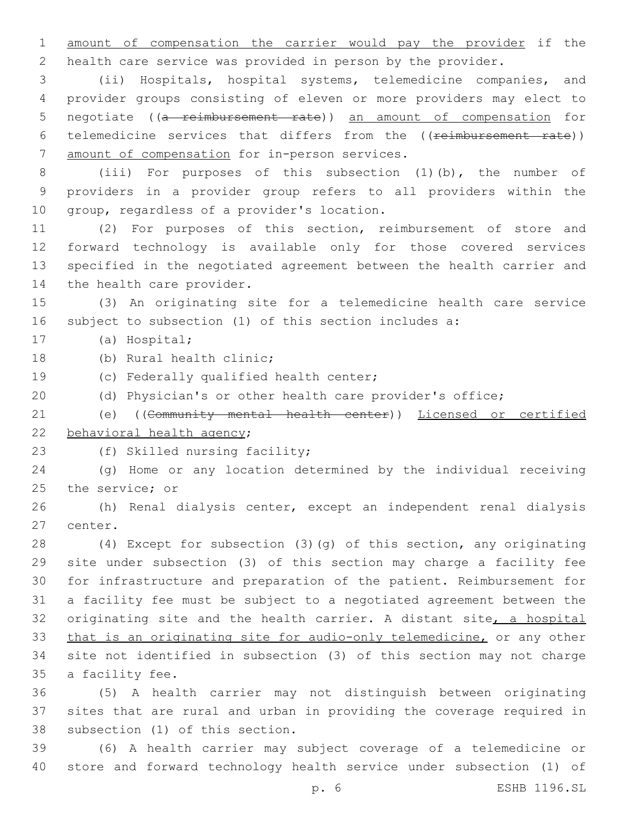amount of compensation the carrier would pay the provider if the health care service was provided in person by the provider.

 (ii) Hospitals, hospital systems, telemedicine companies, and provider groups consisting of eleven or more providers may elect to negotiate ((a reimbursement rate)) an amount of compensation for 6 telemedicine services that differs from the ((reimbursement rate)) 7 amount of compensation for in-person services.

 (iii) For purposes of this subsection (1)(b), the number of providers in a provider group refers to all providers within the 10 group, regardless of a provider's location.

 (2) For purposes of this section, reimbursement of store and forward technology is available only for those covered services specified in the negotiated agreement between the health carrier and 14 the health care provider.

 (3) An originating site for a telemedicine health care service subject to subsection (1) of this section includes a:

17 (a) Hospital;

18 (b) Rural health clinic;

19 (c) Federally qualified health center;

(d) Physician's or other health care provider's office;

 (e) ((Community mental health center)) Licensed or certified 22 behavioral health agency;

23 (f) Skilled nursing facility;

 (g) Home or any location determined by the individual receiving 25 the service; or

 (h) Renal dialysis center, except an independent renal dialysis 27 center.

 (4) Except for subsection (3)(g) of this section, any originating site under subsection (3) of this section may charge a facility fee for infrastructure and preparation of the patient. Reimbursement for a facility fee must be subject to a negotiated agreement between the 32 originating site and the health carrier. A distant site, a hospital that is an originating site for audio-only telemedicine, or any other site not identified in subsection (3) of this section may not charge 35 a facility fee.

 (5) A health carrier may not distinguish between originating sites that are rural and urban in providing the coverage required in 38 subsection (1) of this section.

 (6) A health carrier may subject coverage of a telemedicine or store and forward technology health service under subsection (1) of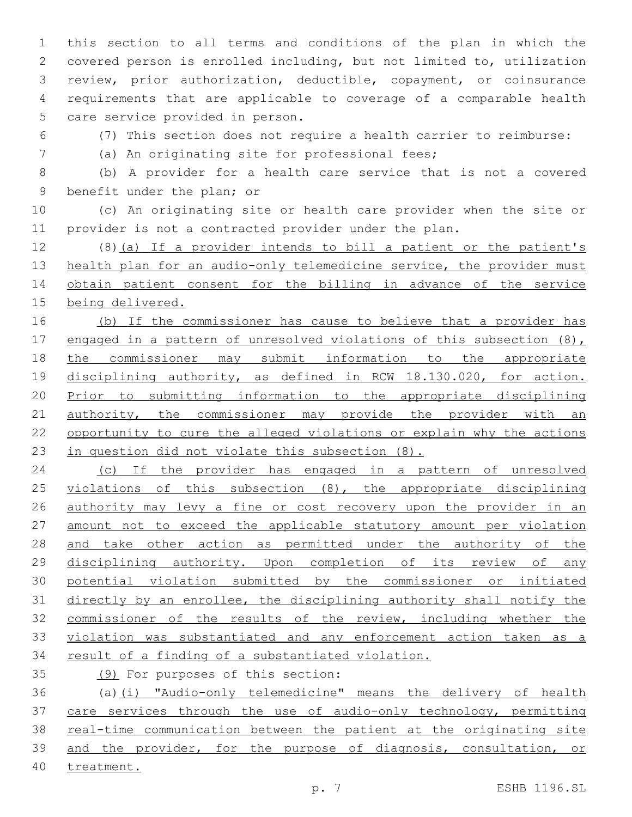this section to all terms and conditions of the plan in which the covered person is enrolled including, but not limited to, utilization review, prior authorization, deductible, copayment, or coinsurance requirements that are applicable to coverage of a comparable health 5 care service provided in person.

(7) This section does not require a health carrier to reimburse:

7 (a) An originating site for professional fees;

 (b) A provider for a health care service that is not a covered 9 benefit under the plan; or

 (c) An originating site or health care provider when the site or provider is not a contracted provider under the plan.

 (8)(a) If a provider intends to bill a patient or the patient's 13 health plan for an audio-only telemedicine service, the provider must obtain patient consent for the billing in advance of the service being delivered.

 (b) If the commissioner has cause to believe that a provider has 17 engaged in a pattern of unresolved violations of this subsection (8), the commissioner may submit information to the appropriate disciplining authority, as defined in RCW 18.130.020, for action. Prior to submitting information to the appropriate disciplining 21 authority, the commissioner may provide the provider with an opportunity to cure the alleged violations or explain why the actions in question did not violate this subsection (8).

 (c) If the provider has engaged in a pattern of unresolved 25 violations of this subsection (8), the appropriate disciplining 26 authority may levy a fine or cost recovery upon the provider in an amount not to exceed the applicable statutory amount per violation and take other action as permitted under the authority of the disciplining authority. Upon completion of its review of any potential violation submitted by the commissioner or initiated directly by an enrollee, the disciplining authority shall notify the commissioner of the results of the review, including whether the violation was substantiated and any enforcement action taken as a 34 result of a finding of a substantiated violation.

35 (9) For purposes of this section:

 (a)(i) "Audio-only telemedicine" means the delivery of health care services through the use of audio-only technology, permitting real-time communication between the patient at the originating site and the provider, for the purpose of diagnosis, consultation, or treatment.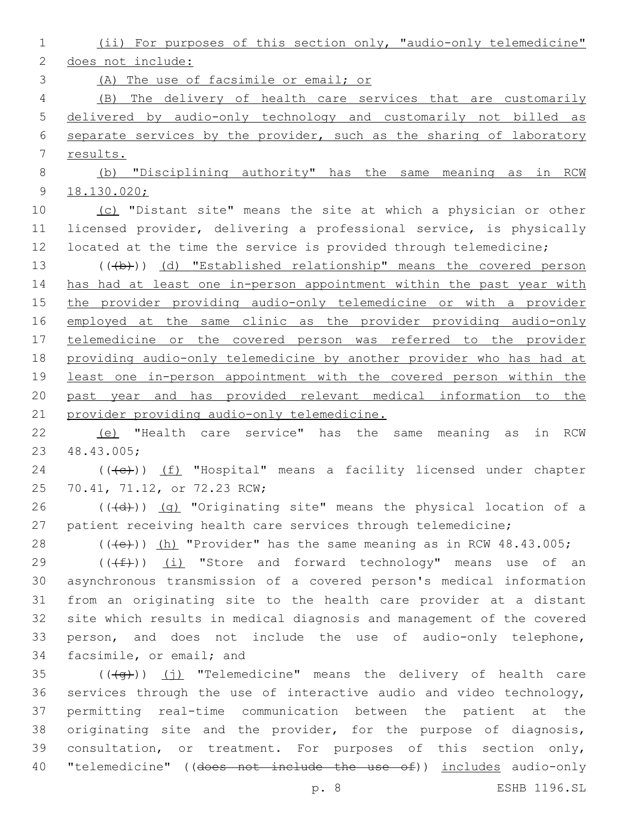(ii) For purposes of this section only, "audio-only telemedicine" does not include: (A) The use of facsimile or email; or (B) The delivery of health care services that are customarily

 delivered by audio-only technology and customarily not billed as separate services by the provider, such as the sharing of laboratory results.

 (b) "Disciplining authority" has the same meaning as in RCW 18.130.020;

10 (c) "Distant site" means the site at which a physician or other licensed provider, delivering a professional service, is physically 12 located at the time the service is provided through telemedicine;

13 (((b))) (d) "Established relationship" means the covered person has had at least one in-person appointment within the past year with the provider providing audio-only telemedicine or with a provider 16 employed at the same clinic as the provider providing audio-only telemedicine or the covered person was referred to the provider providing audio-only telemedicine by another provider who has had at least one in-person appointment with the covered person within the past year and has provided relevant medical information to the provider providing audio-only telemedicine.

 (e) "Health care service" has the same meaning as in RCW 48.43.005;23

24 (((e)) (f) "Hospital" means a facility licensed under chapter 25 70.41, 71.12, or 72.23 RCW;

 (( $\left(\frac{1}{2}\right)$ ) (g) "Originating site" means the physical location of a patient receiving health care services through telemedicine;

28 (((e))) (h) "Provider" has the same meaning as in RCW 48.43.005;

 ( $(\text{+f})$ ) (i) "Store and forward technology" means use of an asynchronous transmission of a covered person's medical information from an originating site to the health care provider at a distant site which results in medical diagnosis and management of the covered person, and does not include the use of audio-only telephone, 34 facsimile, or email; and

 (( $\left(\frac{4}{9}t\right)$ ) (j) "Telemedicine" means the delivery of health care services through the use of interactive audio and video technology, permitting real-time communication between the patient at the originating site and the provider, for the purpose of diagnosis, consultation, or treatment. For purposes of this section only, 40 "telemedicine" ((does not include the use of)) includes audio-only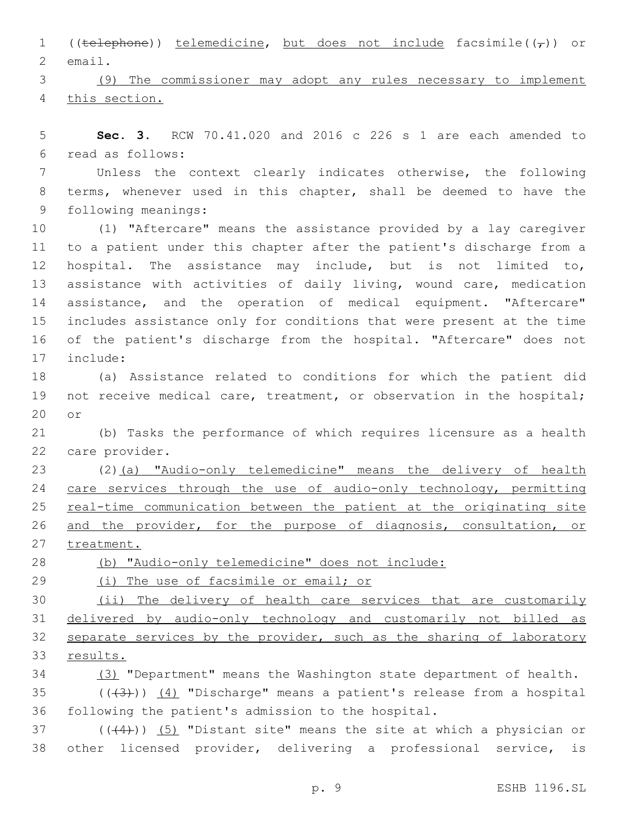1 ((telephone)) telemedicine, but does not include facsimile( $(\tau)$ ) or 2 email.

 (9) The commissioner may adopt any rules necessary to implement this section.

 **Sec. 3.** RCW 70.41.020 and 2016 c 226 s 1 are each amended to read as follows:6

 Unless the context clearly indicates otherwise, the following terms, whenever used in this chapter, shall be deemed to have the 9 following meanings:

 (1) "Aftercare" means the assistance provided by a lay caregiver to a patient under this chapter after the patient's discharge from a hospital. The assistance may include, but is not limited to, assistance with activities of daily living, wound care, medication assistance, and the operation of medical equipment. "Aftercare" includes assistance only for conditions that were present at the time of the patient's discharge from the hospital. "Aftercare" does not 17 include:

 (a) Assistance related to conditions for which the patient did not receive medical care, treatment, or observation in the hospital; 20 or

 (b) Tasks the performance of which requires licensure as a health 22 care provider.

 (2)(a) "Audio-only telemedicine" means the delivery of health 24 care services through the use of audio-only technology, permitting 25 real-time communication between the patient at the originating site and the provider, for the purpose of diagnosis, consultation, or 27 treatment.

(b) "Audio-only telemedicine" does not include:

29 (i) The use of facsimile or email; or

 (ii) The delivery of health care services that are customarily delivered by audio-only technology and customarily not billed as 32 separate services by the provider, such as the sharing of laboratory results.

(3) "Department" means the Washington state department of health.

35  $((+3+))$   $(4)$  "Discharge" means a patient's release from a hospital following the patient's admission to the hospital.

37  $((44))$   $(5)$  "Distant site" means the site at which a physician or other licensed provider, delivering a professional service, is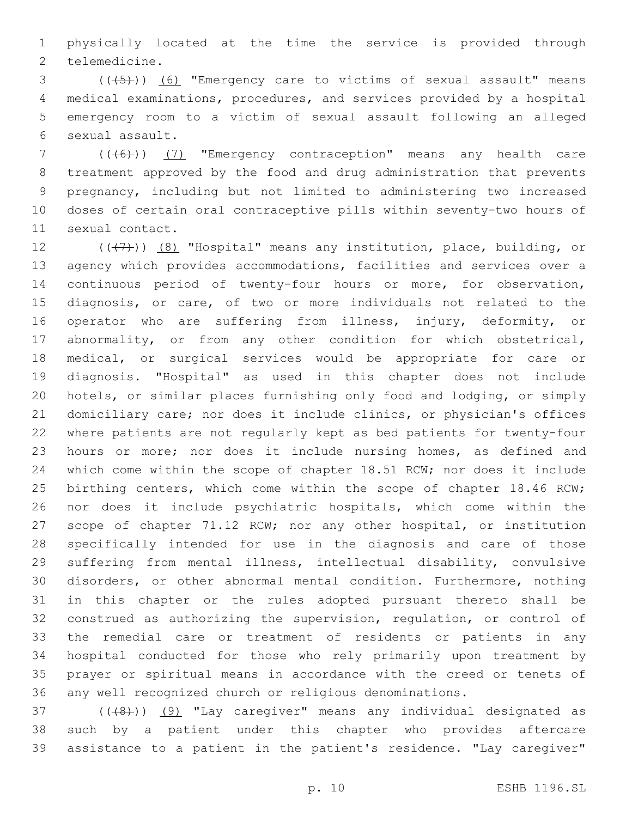physically located at the time the service is provided through 2 telemedicine.

3 (( $(45)$ )) (6) "Emergency care to victims of sexual assault" means medical examinations, procedures, and services provided by a hospital emergency room to a victim of sexual assault following an alleged sexual assault.6

7 (((6)) (7) "Emergency contraception" means any health care treatment approved by the food and drug administration that prevents pregnancy, including but not limited to administering two increased doses of certain oral contraceptive pills within seventy-two hours of 11 sexual contact.

 $((+7+))$   $(8)$  "Hospital" means any institution, place, building, or agency which provides accommodations, facilities and services over a continuous period of twenty-four hours or more, for observation, diagnosis, or care, of two or more individuals not related to the operator who are suffering from illness, injury, deformity, or abnormality, or from any other condition for which obstetrical, medical, or surgical services would be appropriate for care or diagnosis. "Hospital" as used in this chapter does not include hotels, or similar places furnishing only food and lodging, or simply domiciliary care; nor does it include clinics, or physician's offices where patients are not regularly kept as bed patients for twenty-four hours or more; nor does it include nursing homes, as defined and which come within the scope of chapter 18.51 RCW; nor does it include 25 birthing centers, which come within the scope of chapter 18.46 RCW; nor does it include psychiatric hospitals, which come within the scope of chapter 71.12 RCW; nor any other hospital, or institution specifically intended for use in the diagnosis and care of those suffering from mental illness, intellectual disability, convulsive disorders, or other abnormal mental condition. Furthermore, nothing in this chapter or the rules adopted pursuant thereto shall be construed as authorizing the supervision, regulation, or control of the remedial care or treatment of residents or patients in any hospital conducted for those who rely primarily upon treatment by prayer or spiritual means in accordance with the creed or tenets of any well recognized church or religious denominations.

37 (((48)) (9) "Lay caregiver" means any individual designated as such by a patient under this chapter who provides aftercare assistance to a patient in the patient's residence. "Lay caregiver"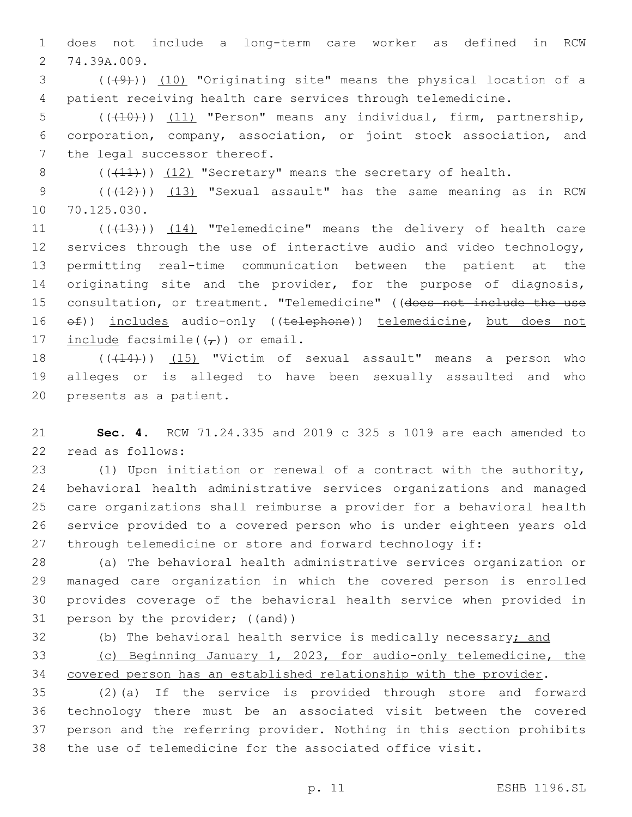1 does not include a long-term care worker as defined in RCW 2 74.39A.009.

3 (((4))) (10) "Originating site" means the physical location of a 4 patient receiving health care services through telemedicine.

5 (((10))) (11) "Person" means any individual, firm, partnership, 6 corporation, company, association, or joint stock association, and 7 the legal successor thereof.

8  $((+11))$   $(12)$  "Secretary" means the secretary of health.

9 (( $(12)$ )) (13) "Sexual assault" has the same meaning as in RCW 10 70.125.030.

11 (((13))) (14) "Telemedicine" means the delivery of health care 12 services through the use of interactive audio and video technology, 13 permitting real-time communication between the patient at the 14 originating site and the provider, for the purpose of diagnosis, 15 consultation, or treatment. "Telemedicine" ((does not include the use 16  $ef)$ ) includes audio-only ((telephone)) telemedicine, but does not 17 include facsimile( $(\tau)$ ) or email.

18 (( $(414)$ )) (15) "Victim of sexual assault" means a person who 19 alleges or is alleged to have been sexually assaulted and who 20 presents as a patient.

21 **Sec. 4.** RCW 71.24.335 and 2019 c 325 s 1019 are each amended to 22 read as follows:

 (1) Upon initiation or renewal of a contract with the authority, behavioral health administrative services organizations and managed care organizations shall reimburse a provider for a behavioral health service provided to a covered person who is under eighteen years old through telemedicine or store and forward technology if:

 (a) The behavioral health administrative services organization or managed care organization in which the covered person is enrolled provides coverage of the behavioral health service when provided in 31 person by the provider; ((and))

32 (b) The behavioral health service is medically necessary; and

33 (c) Beginning January 1, 2023, for audio-only telemedicine, the 34 covered person has an established relationship with the provider.

 (2)(a) If the service is provided through store and forward technology there must be an associated visit between the covered person and the referring provider. Nothing in this section prohibits the use of telemedicine for the associated office visit.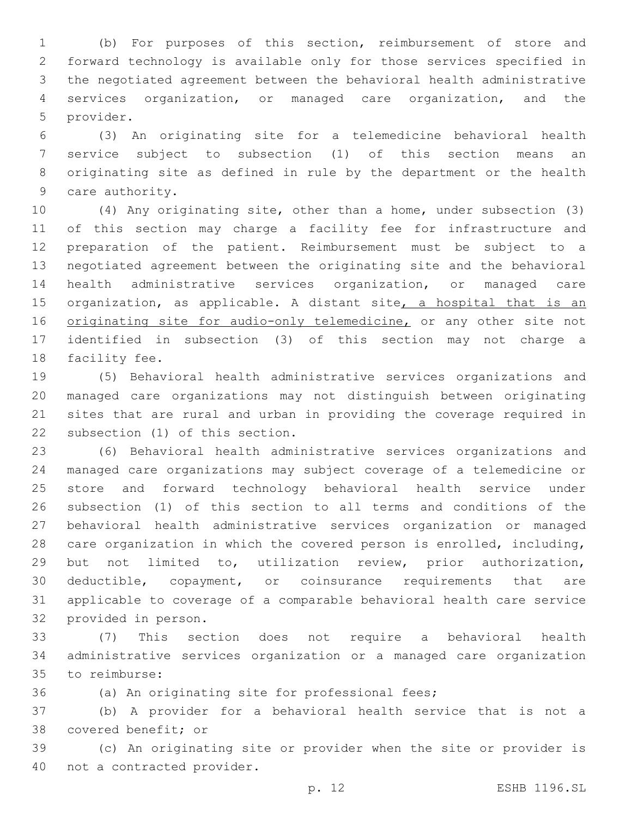(b) For purposes of this section, reimbursement of store and forward technology is available only for those services specified in the negotiated agreement between the behavioral health administrative services organization, or managed care organization, and the 5 provider.

 (3) An originating site for a telemedicine behavioral health service subject to subsection (1) of this section means an originating site as defined in rule by the department or the health 9 care authority.

 (4) Any originating site, other than a home, under subsection (3) of this section may charge a facility fee for infrastructure and preparation of the patient. Reimbursement must be subject to a negotiated agreement between the originating site and the behavioral health administrative services organization, or managed care 15 organization, as applicable. A distant site, a hospital that is an 16 originating site for audio-only telemedicine, or any other site not identified in subsection (3) of this section may not charge a 18 facility fee.

 (5) Behavioral health administrative services organizations and managed care organizations may not distinguish between originating sites that are rural and urban in providing the coverage required in 22 subsection (1) of this section.

 (6) Behavioral health administrative services organizations and managed care organizations may subject coverage of a telemedicine or store and forward technology behavioral health service under subsection (1) of this section to all terms and conditions of the behavioral health administrative services organization or managed care organization in which the covered person is enrolled, including, but not limited to, utilization review, prior authorization, deductible, copayment, or coinsurance requirements that are applicable to coverage of a comparable behavioral health care service 32 provided in person.

 (7) This section does not require a behavioral health administrative services organization or a managed care organization 35 to reimburse:

(a) An originating site for professional fees;

 (b) A provider for a behavioral health service that is not a 38 covered benefit; or

 (c) An originating site or provider when the site or provider is 40 not a contracted provider.

p. 12 ESHB 1196.SL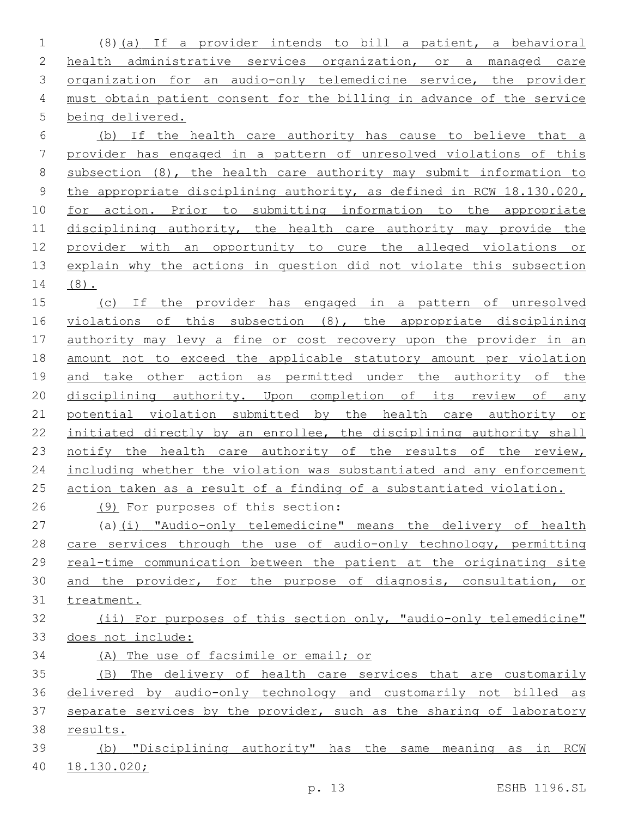(8)(a) If a provider intends to bill a patient, a behavioral 2 health administrative services organization, or a managed care 3 organization for an audio-only telemedicine service, the provider must obtain patient consent for the billing in advance of the service being delivered.

 (b) If the health care authority has cause to believe that a provider has engaged in a pattern of unresolved violations of this subsection (8), the health care authority may submit information to 9 the appropriate disciplining authority, as defined in RCW 18.130.020, for action. Prior to submitting information to the appropriate disciplining authority, the health care authority may provide the provider with an opportunity to cure the alleged violations or explain why the actions in question did not violate this subsection (8).

 (c) If the provider has engaged in a pattern of unresolved violations of this subsection (8), the appropriate disciplining 17 authority may levy a fine or cost recovery upon the provider in an amount not to exceed the applicable statutory amount per violation 19 and take other action as permitted under the authority of the disciplining authority. Upon completion of its review of any potential violation submitted by the health care authority or initiated directly by an enrollee, the disciplining authority shall 23 notify the health care authority of the results of the review, including whether the violation was substantiated and any enforcement action taken as a result of a finding of a substantiated violation.

26 (9) For purposes of this section:

 (a)(i) "Audio-only telemedicine" means the delivery of health 28 care services through the use of audio-only technology, permitting real-time communication between the patient at the originating site and the provider, for the purpose of diagnosis, consultation, or treatment.

# (ii) For purposes of this section only, "audio-only telemedicine" 33 does not include:

(A) The use of facsimile or email; or

 (B) The delivery of health care services that are customarily delivered by audio-only technology and customarily not billed as separate services by the provider, such as the sharing of laboratory results.

 (b) "Disciplining authority" has the same meaning as in RCW 18.130.020;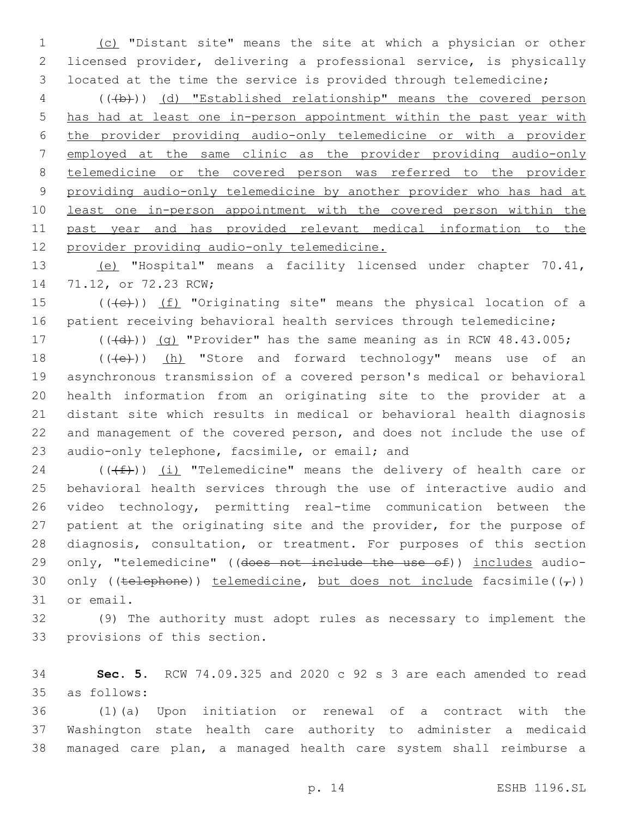(c) "Distant site" means the site at which a physician or other licensed provider, delivering a professional service, is physically located at the time the service is provided through telemedicine;

 (((b))) (d) "Established relationship" means the covered person has had at least one in-person appointment within the past year with the provider providing audio-only telemedicine or with a provider employed at the same clinic as the provider providing audio-only telemedicine or the covered person was referred to the provider providing audio-only telemedicine by another provider who has had at least one in-person appointment with the covered person within the past year and has provided relevant medical information to the provider providing audio-only telemedicine.

 (e) "Hospital" means a facility licensed under chapter 70.41, 14 71.12, or 72.23 RCW;

15  $((+e))$  (f) "Originating site" means the physical location of a 16 patient receiving behavioral health services through telemedicine;

17  $((\{d\}))(q)$  "Provider" has the same meaning as in RCW 48.43.005;

18 (((e)) (h) "Store and forward technology" means use of an asynchronous transmission of a covered person's medical or behavioral health information from an originating site to the provider at a distant site which results in medical or behavioral health diagnosis and management of the covered person, and does not include the use of 23 audio-only telephone, facsimile, or email; and

24 ( $(\text{+f})$ ) (i) "Telemedicine" means the delivery of health care or behavioral health services through the use of interactive audio and video technology, permitting real-time communication between the patient at the originating site and the provider, for the purpose of diagnosis, consultation, or treatment. For purposes of this section 29 only, "telemedicine" ((does not include the use of)) includes audio-30 only ((telephone)) telemedicine, but does not include facsimile( $(\tau)$ ) 31 or email.

 (9) The authority must adopt rules as necessary to implement the 33 provisions of this section.

 **Sec. 5.** RCW 74.09.325 and 2020 c 92 s 3 are each amended to read as follows:35

 (1)(a) Upon initiation or renewal of a contract with the Washington state health care authority to administer a medicaid managed care plan, a managed health care system shall reimburse a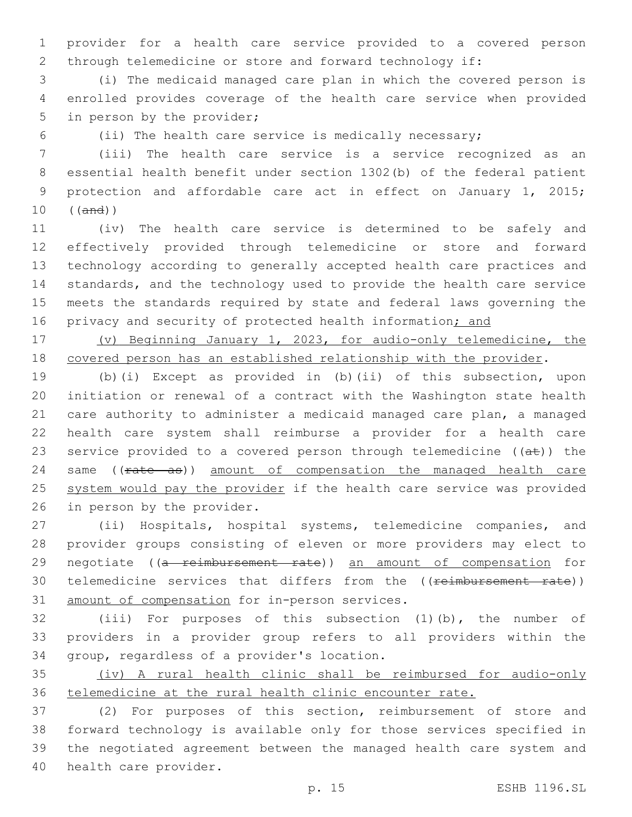provider for a health care service provided to a covered person through telemedicine or store and forward technology if:

 (i) The medicaid managed care plan in which the covered person is enrolled provides coverage of the health care service when provided 5 in person by the provider;

(ii) The health care service is medically necessary;

 (iii) The health care service is a service recognized as an essential health benefit under section 1302(b) of the federal patient protection and affordable care act in effect on January 1, 2015; ((and))

 (iv) The health care service is determined to be safely and effectively provided through telemedicine or store and forward technology according to generally accepted health care practices and standards, and the technology used to provide the health care service meets the standards required by state and federal laws governing the 16 privacy and security of protected health information; and

 (v) Beginning January 1, 2023, for audio-only telemedicine, the covered person has an established relationship with the provider.

 (b)(i) Except as provided in (b)(ii) of this subsection, upon initiation or renewal of a contract with the Washington state health care authority to administer a medicaid managed care plan, a managed health care system shall reimburse a provider for a health care 23 service provided to a covered person through telemedicine  $((a\texttt{t}))$  the 24 same ((rate as)) amount of compensation the managed health care 25 system would pay the provider if the health care service was provided 26 in person by the provider.

 (ii) Hospitals, hospital systems, telemedicine companies, and provider groups consisting of eleven or more providers may elect to 29 negotiate ((a reimbursement rate)) an amount of compensation for 30 telemedicine services that differs from the ((reimbursement rate)) 31 amount of compensation for in-person services.

 (iii) For purposes of this subsection (1)(b), the number of providers in a provider group refers to all providers within the 34 group, regardless of a provider's location.

 (iv) A rural health clinic shall be reimbursed for audio-only telemedicine at the rural health clinic encounter rate.

 (2) For purposes of this section, reimbursement of store and forward technology is available only for those services specified in the negotiated agreement between the managed health care system and 40 health care provider.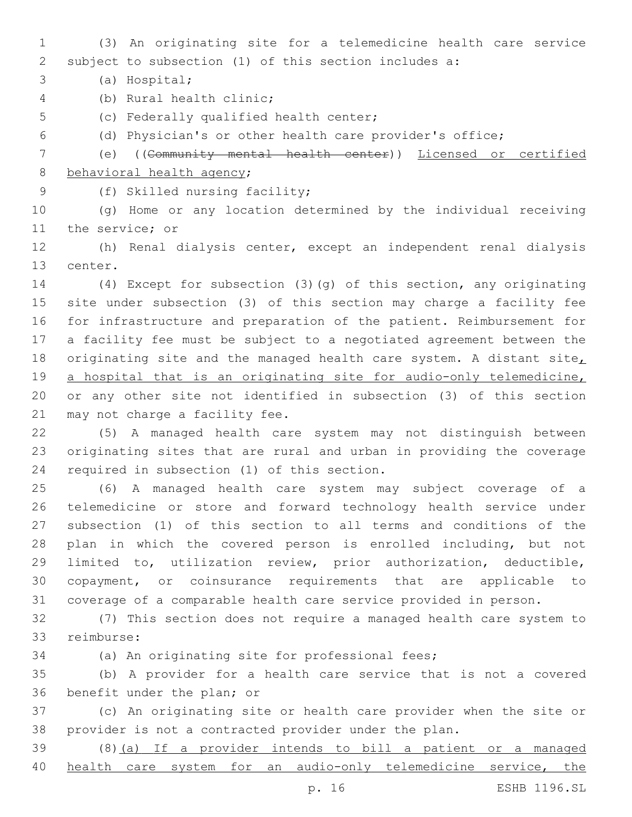(3) An originating site for a telemedicine health care service subject to subsection (1) of this section includes a:

(a) Hospital;3

- (b) Rural health clinic;4
- 5 (c) Federally qualified health center;
- (d) Physician's or other health care provider's office;
- (e) ((Community mental health center)) Licensed or certified 8 behavioral health agency;
- - 9 (f) Skilled nursing facility;

 (g) Home or any location determined by the individual receiving 11 the service; or

 (h) Renal dialysis center, except an independent renal dialysis 13 center.

 (4) Except for subsection (3)(g) of this section, any originating site under subsection (3) of this section may charge a facility fee for infrastructure and preparation of the patient. Reimbursement for a facility fee must be subject to a negotiated agreement between the 18 originating site and the managed health care system. A distant site, 19 a hospital that is an originating site for audio-only telemedicine, or any other site not identified in subsection (3) of this section 21 may not charge a facility fee.

 (5) A managed health care system may not distinguish between originating sites that are rural and urban in providing the coverage 24 required in subsection (1) of this section.

 (6) A managed health care system may subject coverage of a telemedicine or store and forward technology health service under subsection (1) of this section to all terms and conditions of the plan in which the covered person is enrolled including, but not limited to, utilization review, prior authorization, deductible, copayment, or coinsurance requirements that are applicable to coverage of a comparable health care service provided in person.

 (7) This section does not require a managed health care system to reimburse:33

(a) An originating site for professional fees;

 (b) A provider for a health care service that is not a covered 36 benefit under the plan; or

 (c) An originating site or health care provider when the site or provider is not a contracted provider under the plan.

 (8)(a) If a provider intends to bill a patient or a managed health care system for an audio-only telemedicine service, the

p. 16 ESHB 1196.SL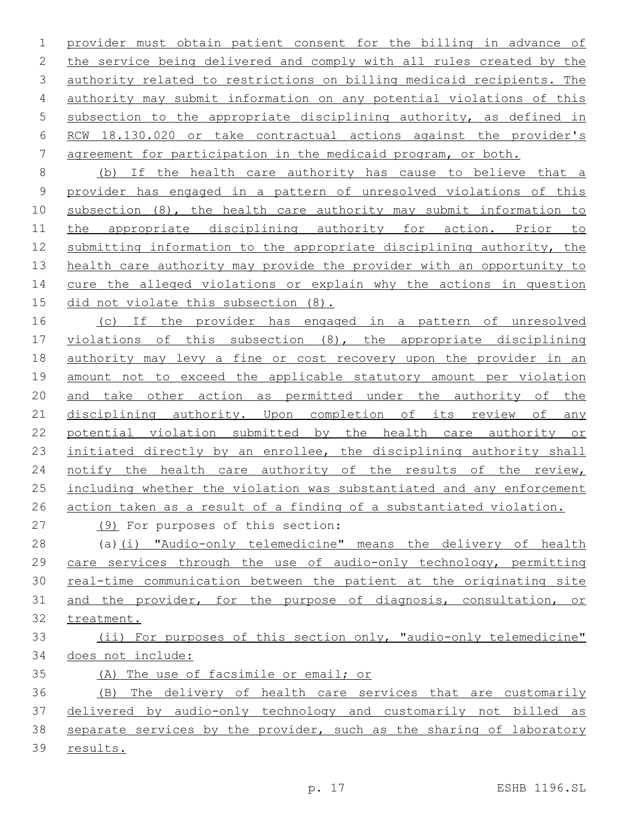provider must obtain patient consent for the billing in advance of the service being delivered and comply with all rules created by the authority related to restrictions on billing medicaid recipients. The authority may submit information on any potential violations of this subsection to the appropriate disciplining authority, as defined in RCW 18.130.020 or take contractual actions against the provider's agreement for participation in the medicaid program, or both.

 (b) If the health care authority has cause to believe that a provider has engaged in a pattern of unresolved violations of this subsection (8), the health care authority may submit information to the appropriate disciplining authority for action. Prior to submitting information to the appropriate disciplining authority, the health care authority may provide the provider with an opportunity to 14 cure the alleged violations or explain why the actions in question did not violate this subsection (8).

16 (c) If the provider has engaged in a pattern of unresolved violations of this subsection (8), the appropriate disciplining authority may levy a fine or cost recovery upon the provider in an amount not to exceed the applicable statutory amount per violation and take other action as permitted under the authority of the 21 disciplining authority. Upon completion of its review of any potential violation submitted by the health care authority or 23 initiated directly by an enrollee, the disciplining authority shall notify the health care authority of the results of the review, including whether the violation was substantiated and any enforcement action taken as a result of a finding of a substantiated violation.

(9) For purposes of this section:27

 (a)(i) "Audio-only telemedicine" means the delivery of health care services through the use of audio-only technology, permitting real-time communication between the patient at the originating site and the provider, for the purpose of diagnosis, consultation, or treatment.

# (ii) For purposes of this section only, "audio-only telemedicine" does not include:

(A) The use of facsimile or email; or

 (B) The delivery of health care services that are customarily delivered by audio-only technology and customarily not billed as separate services by the provider, such as the sharing of laboratory results.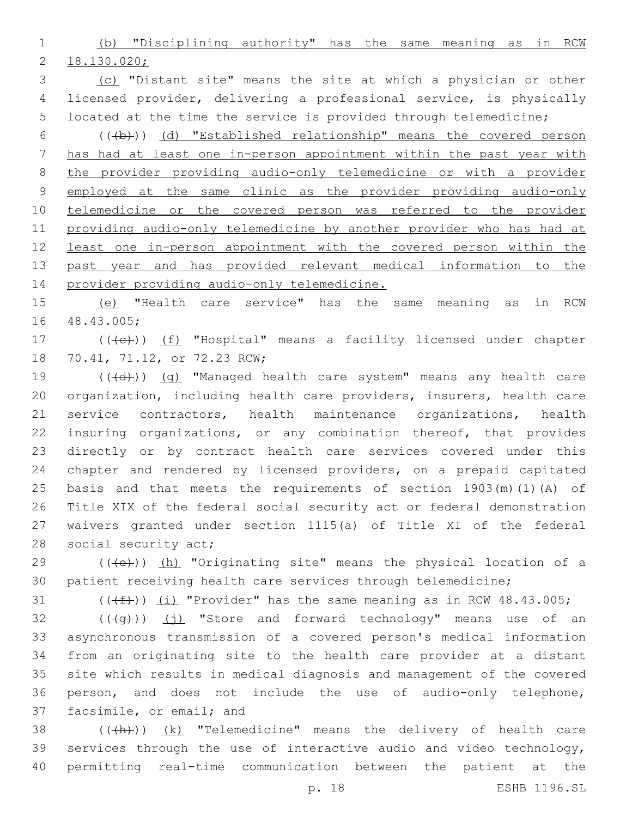(b) "Disciplining authority" has the same meaning as in RCW 18.130.020;

 (c) "Distant site" means the site at which a physician or other licensed provider, delivering a professional service, is physically located at the time the service is provided through telemedicine;

6 (((b)) (d) "Established relationship" means the covered person has had at least one in-person appointment within the past year with the provider providing audio-only telemedicine or with a provider employed at the same clinic as the provider providing audio-only telemedicine or the covered person was referred to the provider providing audio-only telemedicine by another provider who has had at least one in-person appointment with the covered person within the past year and has provided relevant medical information to the provider providing audio-only telemedicine.

 (e) "Health care service" has the same meaning as in RCW 48.43.005;16

17 (((e)) (f) "Hospital" means a facility licensed under chapter 18 70.41, 71.12, or 72.23 RCW;

19 (((+d))) (q) "Managed health care system" means any health care organization, including health care providers, insurers, health care service contractors, health maintenance organizations, health insuring organizations, or any combination thereof, that provides directly or by contract health care services covered under this chapter and rendered by licensed providers, on a prepaid capitated basis and that meets the requirements of section 1903(m)(1)(A) of Title XIX of the federal social security act or federal demonstration waivers granted under section 1115(a) of Title XI of the federal 28 social security act;

 (( $\left(\frac{1}{10}\right)$ ) (h) "Originating site" means the physical location of a patient receiving health care services through telemedicine;

31  $((\text{#}))(\text{1})$  "Provider" has the same meaning as in RCW 48.43.005;

 ( $(\overline{+q})$ ) (j) "Store and forward technology" means use of an asynchronous transmission of a covered person's medical information from an originating site to the health care provider at a distant site which results in medical diagnosis and management of the covered person, and does not include the use of audio-only telephone, 37 facsimile, or email; and

38 (((+h)) (k) "Telemedicine" means the delivery of health care services through the use of interactive audio and video technology, permitting real-time communication between the patient at the

p. 18 ESHB 1196.SL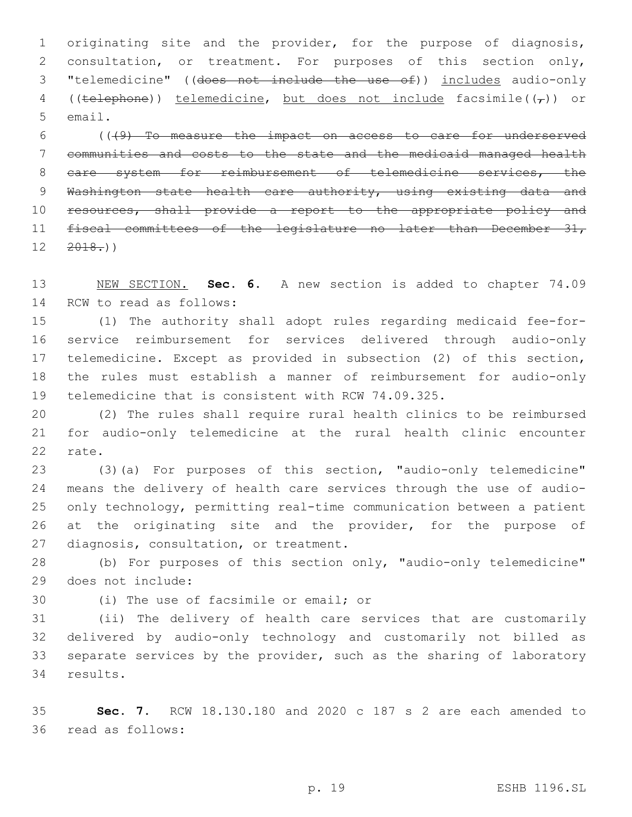1 originating site and the provider, for the purpose of diagnosis, 2 consultation, or treatment. For purposes of this section only, 3 "telemedicine" ((does not include the use of)) includes audio-only 4 ((telephone)) telemedicine, but does not include facsimile( $(\tau)$ ) or 5 email.

6 (((9) To measure the impact on access to care for underserved 7 communities and costs to the state and the medicaid managed health 8 care system for reimbursement of telemedicine services, the 9 Washington state health care authority, using existing data and 10 resources, shall provide a report to the appropriate policy and 11 fiscal committees of the legislature no later than December 31,  $12 \quad 2018.$ ))

13 NEW SECTION. **Sec. 6.** A new section is added to chapter 74.09 14 RCW to read as follows:

 (1) The authority shall adopt rules regarding medicaid fee-for- service reimbursement for services delivered through audio-only telemedicine. Except as provided in subsection (2) of this section, the rules must establish a manner of reimbursement for audio-only telemedicine that is consistent with RCW 74.09.325.

20 (2) The rules shall require rural health clinics to be reimbursed 21 for audio-only telemedicine at the rural health clinic encounter 22 rate.

23 (3)(a) For purposes of this section, "audio-only telemedicine" 24 means the delivery of health care services through the use of audio-25 only technology, permitting real-time communication between a patient 26 at the originating site and the provider, for the purpose of 27 diagnosis, consultation, or treatment.

28 (b) For purposes of this section only, "audio-only telemedicine" does not include:29

30 (i) The use of facsimile or email; or

 (ii) The delivery of health care services that are customarily delivered by audio-only technology and customarily not billed as separate services by the provider, such as the sharing of laboratory 34 results.

35 **Sec. 7.** RCW 18.130.180 and 2020 c 187 s 2 are each amended to read as follows:36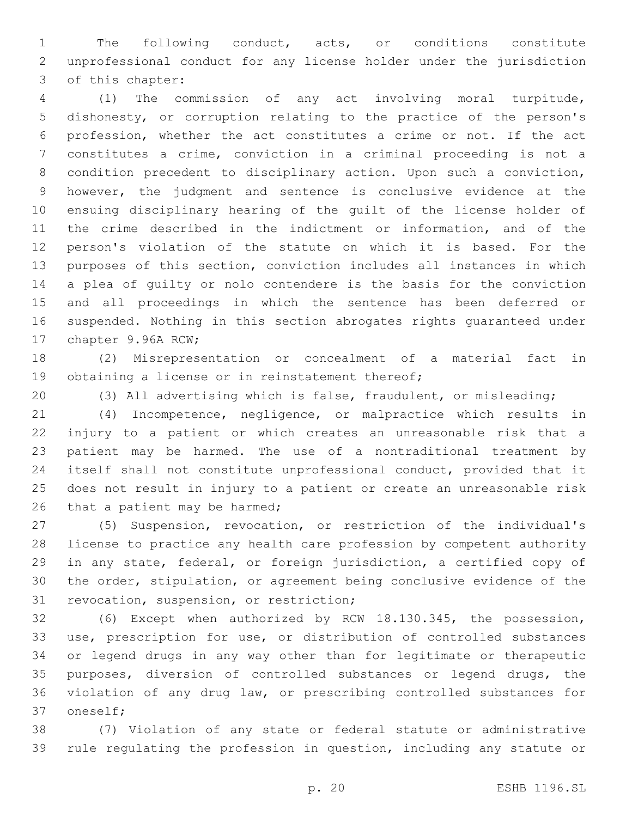The following conduct, acts, or conditions constitute unprofessional conduct for any license holder under the jurisdiction 3 of this chapter:

 (1) The commission of any act involving moral turpitude, dishonesty, or corruption relating to the practice of the person's profession, whether the act constitutes a crime or not. If the act constitutes a crime, conviction in a criminal proceeding is not a condition precedent to disciplinary action. Upon such a conviction, however, the judgment and sentence is conclusive evidence at the ensuing disciplinary hearing of the guilt of the license holder of the crime described in the indictment or information, and of the person's violation of the statute on which it is based. For the purposes of this section, conviction includes all instances in which a plea of guilty or nolo contendere is the basis for the conviction and all proceedings in which the sentence has been deferred or suspended. Nothing in this section abrogates rights guaranteed under 17 chapter 9.96A RCW;

 (2) Misrepresentation or concealment of a material fact in 19 obtaining a license or in reinstatement thereof;

(3) All advertising which is false, fraudulent, or misleading;

 (4) Incompetence, negligence, or malpractice which results in injury to a patient or which creates an unreasonable risk that a patient may be harmed. The use of a nontraditional treatment by itself shall not constitute unprofessional conduct, provided that it does not result in injury to a patient or create an unreasonable risk 26 that a patient may be harmed;

 (5) Suspension, revocation, or restriction of the individual's license to practice any health care profession by competent authority in any state, federal, or foreign jurisdiction, a certified copy of the order, stipulation, or agreement being conclusive evidence of the 31 revocation, suspension, or restriction;

 (6) Except when authorized by RCW 18.130.345, the possession, use, prescription for use, or distribution of controlled substances or legend drugs in any way other than for legitimate or therapeutic purposes, diversion of controlled substances or legend drugs, the violation of any drug law, or prescribing controlled substances for 37 oneself:

 (7) Violation of any state or federal statute or administrative rule regulating the profession in question, including any statute or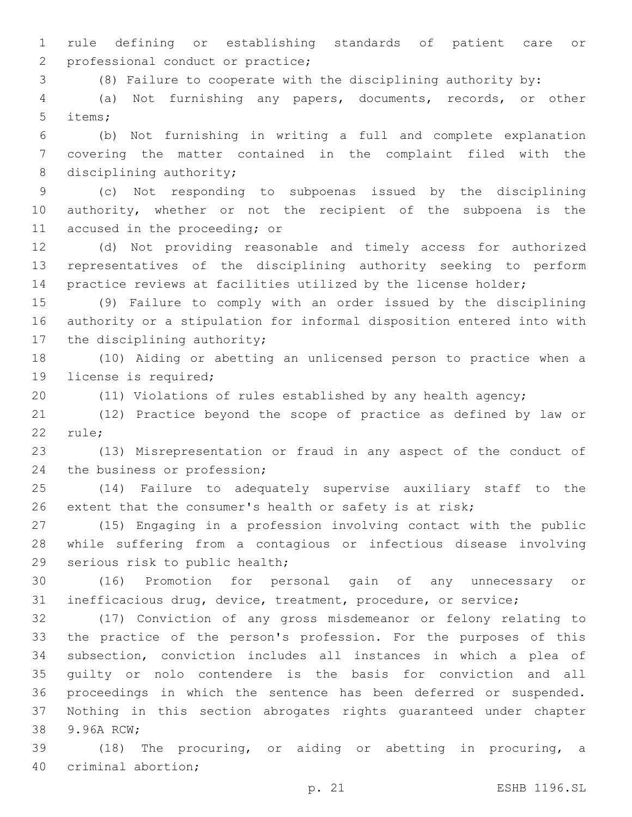rule defining or establishing standards of patient care or 2 professional conduct or practice;

(8) Failure to cooperate with the disciplining authority by:

 (a) Not furnishing any papers, documents, records, or other 5 items;

 (b) Not furnishing in writing a full and complete explanation covering the matter contained in the complaint filed with the 8 disciplining authority;

 (c) Not responding to subpoenas issued by the disciplining authority, whether or not the recipient of the subpoena is the 11 accused in the proceeding; or

 (d) Not providing reasonable and timely access for authorized representatives of the disciplining authority seeking to perform practice reviews at facilities utilized by the license holder;

 (9) Failure to comply with an order issued by the disciplining authority or a stipulation for informal disposition entered into with 17 the disciplining authority;

 (10) Aiding or abetting an unlicensed person to practice when a 19 license is required;

(11) Violations of rules established by any health agency;

 (12) Practice beyond the scope of practice as defined by law or 22 rule;

 (13) Misrepresentation or fraud in any aspect of the conduct of 24 the business or profession;

 (14) Failure to adequately supervise auxiliary staff to the extent that the consumer's health or safety is at risk;

 (15) Engaging in a profession involving contact with the public while suffering from a contagious or infectious disease involving 29 serious risk to public health;

 (16) Promotion for personal gain of any unnecessary or inefficacious drug, device, treatment, procedure, or service;

 (17) Conviction of any gross misdemeanor or felony relating to the practice of the person's profession. For the purposes of this subsection, conviction includes all instances in which a plea of guilty or nolo contendere is the basis for conviction and all proceedings in which the sentence has been deferred or suspended. Nothing in this section abrogates rights guaranteed under chapter 38 9.96A RCW;

 (18) The procuring, or aiding or abetting in procuring, a 40 criminal abortion;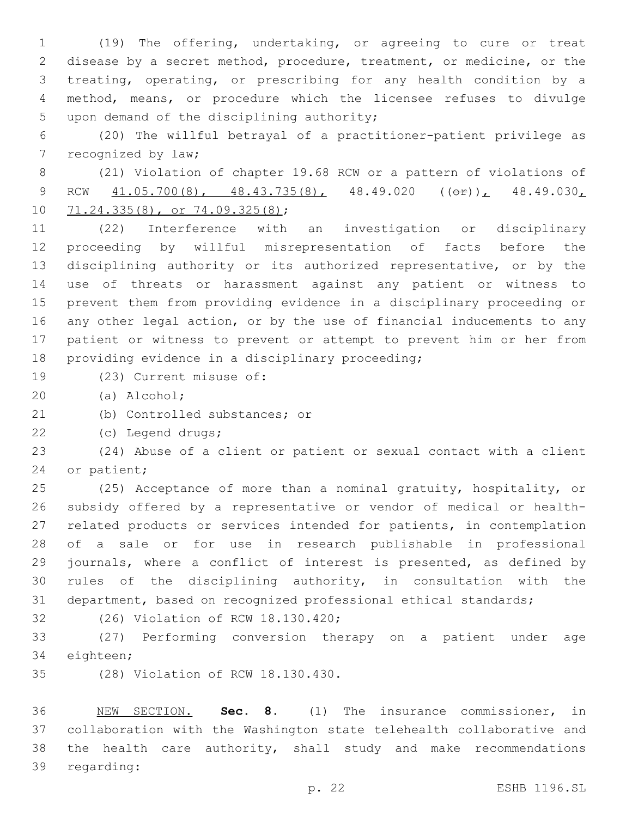(19) The offering, undertaking, or agreeing to cure or treat disease by a secret method, procedure, treatment, or medicine, or the treating, operating, or prescribing for any health condition by a method, means, or procedure which the licensee refuses to divulge 5 upon demand of the disciplining authority;

 (20) The willful betrayal of a practitioner-patient privilege as 7 recognized by law;

 (21) Violation of chapter 19.68 RCW or a pattern of violations of 9 RCW  $\overline{41.05.700(8)}$ ,  $\overline{48.43.735(8)}$ ,  $\overline{48.49.020}$   $(\overline{e_{\pm}})$ ,  $\overline{48.49.030}$ 10 71.24.335(8), or 74.09.325(8);

 (22) Interference with an investigation or disciplinary proceeding by willful misrepresentation of facts before the disciplining authority or its authorized representative, or by the use of threats or harassment against any patient or witness to prevent them from providing evidence in a disciplinary proceeding or any other legal action, or by the use of financial inducements to any patient or witness to prevent or attempt to prevent him or her from 18 providing evidence in a disciplinary proceeding;

- 19 (23) Current misuse of:
- (a) Alcohol;20
- 21 (b) Controlled substances; or
- (c) Legend drugs;22

 (24) Abuse of a client or patient or sexual contact with a client 24 or patient;

 (25) Acceptance of more than a nominal gratuity, hospitality, or subsidy offered by a representative or vendor of medical or health- related products or services intended for patients, in contemplation of a sale or for use in research publishable in professional journals, where a conflict of interest is presented, as defined by rules of the disciplining authority, in consultation with the department, based on recognized professional ethical standards;

- 
- 32 (26) Violation of RCW 18.130.420;

 (27) Performing conversion therapy on a patient under age 34 eighteen;

35 (28) Violation of RCW 18.130.430.

 NEW SECTION. **Sec. 8.** (1) The insurance commissioner, in collaboration with the Washington state telehealth collaborative and the health care authority, shall study and make recommendations regarding: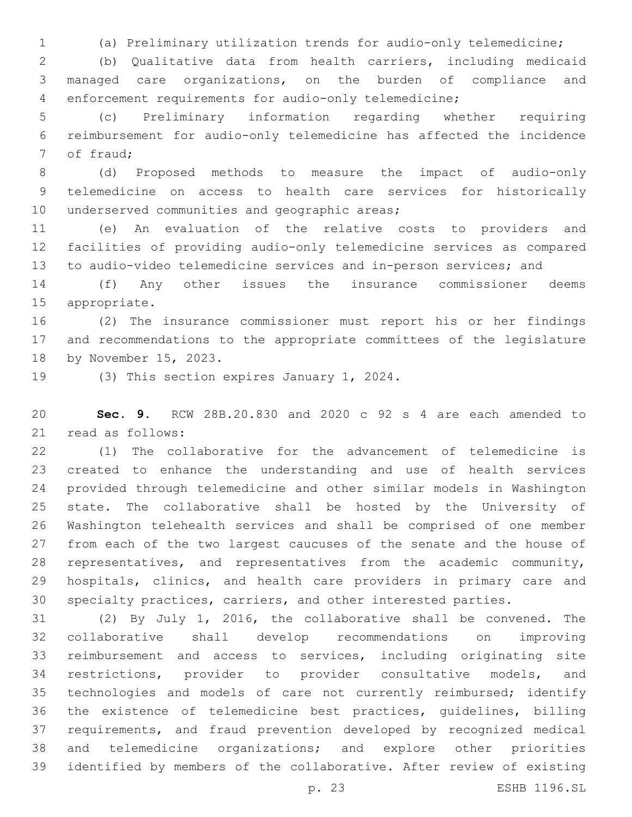(a) Preliminary utilization trends for audio-only telemedicine;

 (b) Qualitative data from health carriers, including medicaid managed care organizations, on the burden of compliance and enforcement requirements for audio-only telemedicine;

 (c) Preliminary information regarding whether requiring reimbursement for audio-only telemedicine has affected the incidence 7 of fraud;

 (d) Proposed methods to measure the impact of audio-only telemedicine on access to health care services for historically 10 underserved communities and geographic areas;

 (e) An evaluation of the relative costs to providers and facilities of providing audio-only telemedicine services as compared to audio-video telemedicine services and in-person services; and

 (f) Any other issues the insurance commissioner deems 15 appropriate.

 (2) The insurance commissioner must report his or her findings and recommendations to the appropriate committees of the legislature 18 by November 15, 2023.

19 (3) This section expires January 1, 2024.

 **Sec. 9.** RCW 28B.20.830 and 2020 c 92 s 4 are each amended to 21 read as follows:

 (1) The collaborative for the advancement of telemedicine is created to enhance the understanding and use of health services provided through telemedicine and other similar models in Washington state. The collaborative shall be hosted by the University of Washington telehealth services and shall be comprised of one member from each of the two largest caucuses of the senate and the house of representatives, and representatives from the academic community, hospitals, clinics, and health care providers in primary care and specialty practices, carriers, and other interested parties.

 (2) By July 1, 2016, the collaborative shall be convened. The collaborative shall develop recommendations on improving reimbursement and access to services, including originating site restrictions, provider to provider consultative models, and 35 technologies and models of care not currently reimbursed; identify the existence of telemedicine best practices, guidelines, billing requirements, and fraud prevention developed by recognized medical and telemedicine organizations; and explore other priorities identified by members of the collaborative. After review of existing

p. 23 ESHB 1196.SL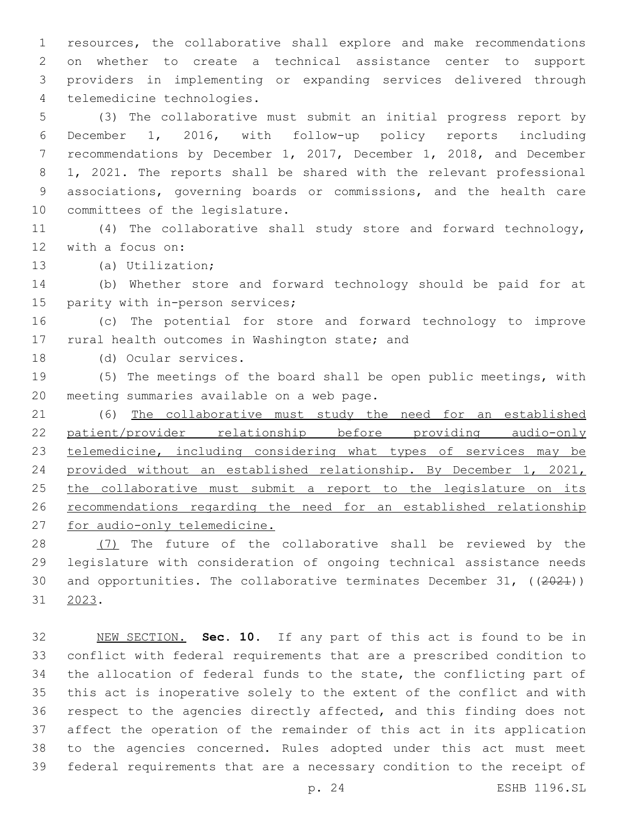resources, the collaborative shall explore and make recommendations on whether to create a technical assistance center to support providers in implementing or expanding services delivered through 4 telemedicine technologies.

 (3) The collaborative must submit an initial progress report by December 1, 2016, with follow-up policy reports including recommendations by December 1, 2017, December 1, 2018, and December 1, 2021. The reports shall be shared with the relevant professional associations, governing boards or commissions, and the health care 10 committees of the legislature.

 (4) The collaborative shall study store and forward technology, 12 with a focus on:

13 (a) Utilization;

 (b) Whether store and forward technology should be paid for at 15 parity with in-person services;

 (c) The potential for store and forward technology to improve 17 rural health outcomes in Washington state; and

18 (d) Ocular services.

 (5) The meetings of the board shall be open public meetings, with 20 meeting summaries available on a web page.

 (6) The collaborative must study the need for an established patient/provider relationship before providing audio-only 23 telemedicine, including considering what types of services may be provided without an established relationship. By December 1, 2021, 25 the collaborative must submit a report to the legislature on its recommendations regarding the need for an established relationship for audio-only telemedicine.

28 (7) The future of the collaborative shall be reviewed by the legislature with consideration of ongoing technical assistance needs 30 and opportunities. The collaborative terminates December 31, ((2021)) 31 2023.

 NEW SECTION. **Sec. 10.** If any part of this act is found to be in conflict with federal requirements that are a prescribed condition to the allocation of federal funds to the state, the conflicting part of this act is inoperative solely to the extent of the conflict and with respect to the agencies directly affected, and this finding does not affect the operation of the remainder of this act in its application to the agencies concerned. Rules adopted under this act must meet federal requirements that are a necessary condition to the receipt of